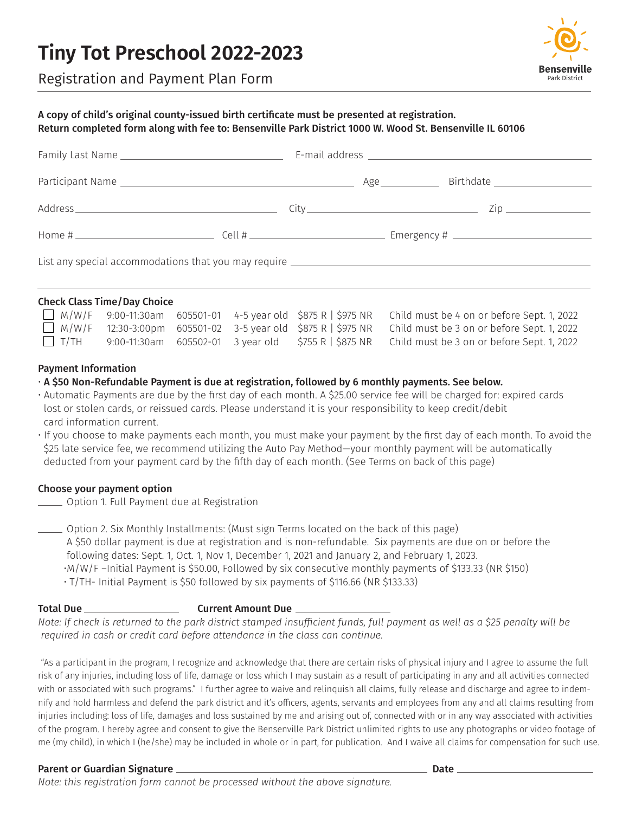# **Tiny Tot Preschool 2022-2023**



Registration and Payment Plan Form

## A copy of child's original county-issued birth certificate must be presented at registration. Return completed form along with fee to: Bensenville Park District 1000 W. Wood St. Bensenville IL 60106

| List any special accommodations that you may require ____________________________ |  |  |
|-----------------------------------------------------------------------------------|--|--|

### Check Class Time/Day Choice

|             |  |  | $\Box$ M/W/F 9:00-11:30am 605501-01 4-5 year old \$875 R   \$975 NR Child must be 4 on or before Sept. 1, 2022 |
|-------------|--|--|----------------------------------------------------------------------------------------------------------------|
|             |  |  | $\Box$ M/W/F 12:30-3:00pm 605501-02 3-5 year old \$875 R   \$975 NR Child must be 3 on or before Sept. 1, 2022 |
| $\Box$ t/th |  |  | 9:00-11:30am 605502-01 3 year old $\frac{1}{2}$ \$875 R   \$875 NR Child must be 3 on or before Sept. 1, 2022  |

## Payment Information

- A \$50 Non-Refundable Payment is due at registration, followed by 6 monthly payments. See below.
- Automatic Payments are due by the first day of each month. A \$25.00 service fee will be charged for: expired cards lost or stolen cards, or reissued cards. Please understand it is your responsibility to keep credit/debit card information current.
- If you choose to make payments each month, you must make your payment by the first day of each month. To avoid the \$25 late service fee, we recommend utilizing the Auto Pay Method—your monthly payment will be automatically deducted from your payment card by the fifth day of each month. (See Terms on back of this page)

# Choose your payment option

**COPTION 1. Full Payment due at Registration** 

 $\equiv$  Option 2. Six Monthly Installments: (Must sign Terms located on the back of this page) A \$50 dollar payment is due at registration and is non-refundable. Six payments are due on or before the following dates: Sept. 1, Oct. 1, Nov 1, December 1, 2021 and January 2, and February 1, 2023. •M/W/F –Initial Payment is \$50.00, Followed by six consecutive monthly payments of \$133.33 (NR \$150) • T/TH- Initial Payment is \$50 followed by six payments of \$116.66 (NR \$133.33)

# Total Due Current Amount Due

*Note: If check is returned to the park district stamped insufficient funds, full payment as well as a \$25 penalty will be required in cash or credit card before attendance in the class can continue.*

"As a participant in the program, I recognize and acknowledge that there are certain risks of physical injury and I agree to assume the full risk of any injuries, including loss of life, damage or loss which I may sustain as a result of participating in any and all activities connected with or associated with such programs." I further agree to waive and relinquish all claims, fully release and discharge and agree to indemnify and hold harmless and defend the park district and it's officers, agents, servants and employees from any and all claims resulting from injuries including: loss of life, damages and loss sustained by me and arising out of, connected with or in any way associated with activities of the program. I hereby agree and consent to give the Bensenville Park District unlimited rights to use any photographs or video footage of me (my child), in which I (he/she) may be included in whole or in part, for publication. And I waive all claims for compensation for such use.

## Parent or Guardian Signature **Date 2018** and 2018 and 2019 and 2019 and 2019 and 2019 and 2019 and 2019 and 2019

*Note: this registration form cannot be processed without the above signature.*